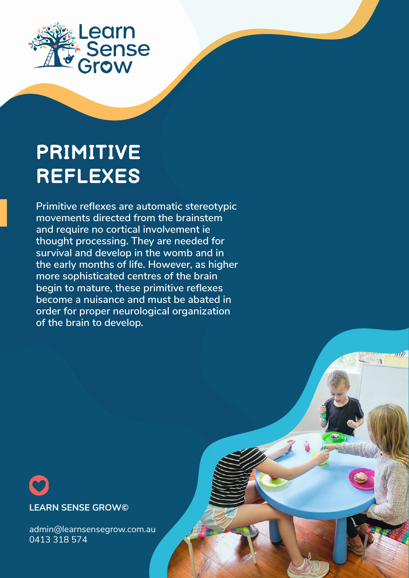

# **PRIMITIVE REFLEXES**

**Primitive reflexes are automatic stereotypic movements directed from the brainstem and require no cortical involvement ie thought processing. They are needed for survival and develop in the womb and in the early months of life. However, as higher more sophisticated centres of the brain begin to mature, these primitive reflexes become a nuisance and must be abated in order for proper neurological organization of the brain to develop.** 



admin@learnsensegrow.com.au 0413 318 574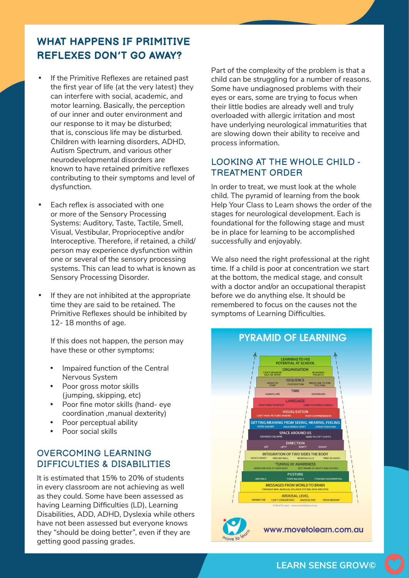## **WHAT HAPPENS IF PRIMITIVE REFLEXES DON'T GO AWAY?**

- If the Primitive Reflexes are retained past the first year of life (at the very latest) they can interfere with social, academic, and motor learning. Basically, the perception of our inner and outer environment and our response to it may be disturbed; that is, conscious life may be disturbed. Children with learning disorders, ADHD, Autism Spectrum, and various other neurodevelopmental disorders are known to have retained primitive reflexes contributing to their symptoms and level of dysfunction.
- Each reflex is associated with one or more of the Sensory Processing Systems: Auditory, Taste, Tactile, Smell, Visual, Vestibular, Proprioceptive and/or Interoceptive. Therefore, if retained, a child/ person may experience dysfunction within one or several of the sensory processing systems. This can lead to what is known as Sensory Processing Disorder.
- If they are not inhibited at the appropriate time they are said to be retained. The Primitive Reflexes should be inhibited by 12- 18 months of age.

If this does not happen, the person may have these or other symptoms:

- Impaired function of the Central Nervous System
- • Poor gross motor skills (jumping, skipping, etc)
- • Poor fine motor skills (hand- eye coordination ,manual dexterity)
- • Poor perceptual ability
- • Poor social skills

#### OVERCOMING LEARNING DIFFICULTIES & DISABILITIES

It is estimated that 15% to 20% of students in every classroom are not achieving as well as they could. Some have been assessed as having Learning Difficulties (LD), Learning Disabilities, ADD, ADHD, Dyslexia while others have not been assessed but everyone knows they "should be doing better", even if they are getting good passing grades.

Part of the complexity of the problem is that a child can be struggling for a number of reasons. Some have undiagnosed problems with their eyes or ears, some are trying to focus when their little bodies are already well and truly overloaded with allergic irritation and most have underlying neurological immaturities that are slowing down their ability to receive and process information.

### LOOKING AT THE WHOLE CHILD - TREATMENT ORDER

In order to treat, we must look at the whole child. The pyramid of learning from the book Help Your Class to Learn shows the order of the stages for neurological development. Each is foundational for the following stage and must be in place for learning to be accomplished successfully and enjoyably.

We also need the right professional at the right time. If a child is poor at concentration we start at the bottom, the medical stage, and consult with a doctor and/or an occupational therapist before we do anything else. It should be remembered to focus on the causes not the symptoms of Learning Difficulties.



**LEARN SENSE GROW©**